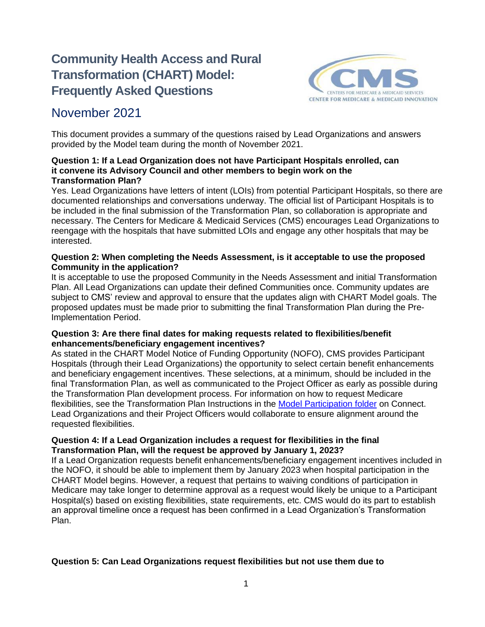# **Community Health Access and Rural Transformation (CHART) Model: Frequently Asked Questions**



## November 2021

This document provides a summary of the questions raised by Lead Organizations and answers provided by the Model team during the month of November 2021.

#### **Question 1: If a Lead Organization does not have Participant Hospitals enrolled, can it convene its Advisory Council and other members to begin work on the Transformation Plan?**

Yes. Lead Organizations have letters of intent (LOIs) from potential Participant Hospitals, so there are documented relationships and conversations underway. The official list of Participant Hospitals is to be included in the final submission of the Transformation Plan, so collaboration is appropriate and necessary. The Centers for Medicare & Medicaid Services (CMS) encourages Lead Organizations to reengage with the hospitals that have submitted LOIs and engage any other hospitals that may be interested.

#### **Question 2: When completing the Needs Assessment, is it acceptable to use the proposed Community in the application?**

It is acceptable to use the proposed Community in the Needs Assessment and initial Transformation Plan. All Lead Organizations can update their defined Communities once. Community updates are subject to CMS' review and approval to ensure that the updates align with CHART Model goals. The proposed updates must be made prior to submitting the final Transformation Plan during the Pre-Implementation Period.

#### **Question 3: Are there final dates for making requests related to flexibilities/benefit enhancements/beneficiary engagement incentives?**

As stated in the CHART Model Notice of Funding Opportunity (NOFO), CMS provides Participant Hospitals (through their Lead Organizations) the opportunity to select certain benefit enhancements and beneficiary engagement incentives. These selections, at a minimum, should be included in the final Transformation Plan, as well as communicated to the Project Officer as early as possible during the Transformation Plan development process. For information on how to request Medicare flexibilities, see the Transformation Plan Instructions in the [Model Participation folder](https://secure-web.cisco.com/1gd1QtpXMUSelMYNWBKhqhOenJtjyJx-4_ZMdEGbUYKbpbpJ720d91lD4LfOK1Qhg06si7wVtr2npY_JJg_86A6FXZ7sBTlrbHVjC33bsFMGGJnlFUlDuguTs94cxmK-NrR4nSKk9kXprfiILGCo7iG47nGYmARCw9CeDvGoNbcxawCU_1hJ7hmCb8M2a9wrYekjsWxvL_xReT55IaidES8W2n3rElj89GkkbtxmhhPp3lj78V5Sg_hYXMb0HU9eXPqqd0kCxok0O9iuL15IjIWgnapgoUFFdPlpBMMciQyFTtHI4A9iLSOlGmCdeMqrqnqUwZI8nQa7iNhXLaORjKS8_SvsnPGi-MYEhlIM-m-ypZAPIinxGqE_-g4XbPKX9UuI5RxVgREnw9JaOqi5bJJe-svLnpYvbCwzLAlfEdvjnhow1RoxYDUiHIMlyL5CvSgwWk4D_9ByMRBBhPVLdDgduoS4jMjEuMGj_aHniEVg8OkN1xFrt1dm15pCnRkef/https%3A%2F%2Fapp.innovation.cms.gov%2FCMMIConnect%2Fs%2Fcontentdocument%2FContentDocument%2FAll) on Connect. Lead Organizations and their Project Officers would collaborate to ensure alignment around the requested flexibilities.

#### **Question 4: If a Lead Organization includes a request for flexibilities in the final Transformation Plan, will the request be approved by January 1, 2023?**

If a Lead Organization requests benefit enhancements/beneficiary engagement incentives included in the NOFO, it should be able to implement them by January 2023 when hospital participation in the CHART Model begins. However, a request that pertains to waiving conditions of participation in Medicare may take longer to determine approval as a request would likely be unique to a Participant Hospital(s) based on existing flexibilities, state requirements, etc. CMS would do its part to establish an approval timeline once a request has been confirmed in a Lead Organization's Transformation Plan.

### **Question 5: Can Lead Organizations request flexibilities but not use them due to**